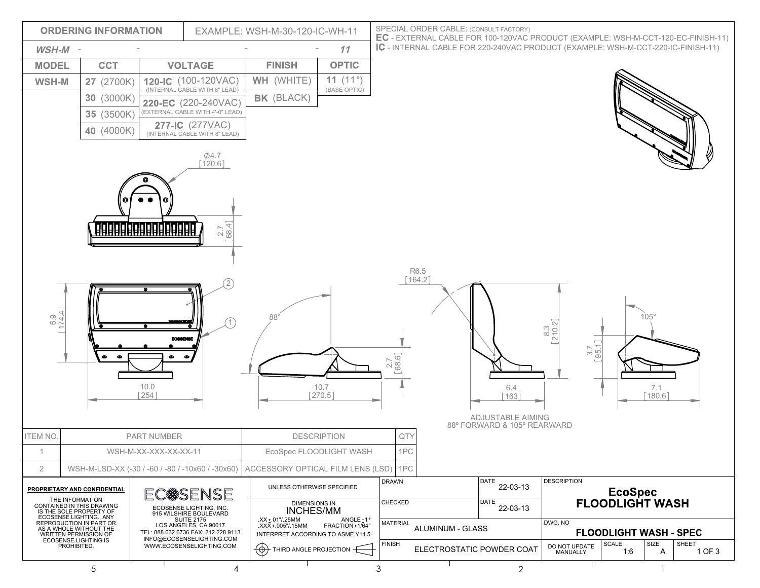|                                              | <b>ORDERING INFORMATION</b>                                                                       | EXAMPLE: WSH-M-30-120-IC-WH-11                                                                                               |                                                               |                                                         | SPECIAL ORDER CABLE: (CONSULT FACTORY)        | EC - EXTERNAL CABLE FOR 100-120VAC PRODUCT (EXAMPLE: WSH-M-CCT-120-EC-FINISH-11) |                   |                                                                                  |                                           |              |                                          |                 |  |
|----------------------------------------------|---------------------------------------------------------------------------------------------------|------------------------------------------------------------------------------------------------------------------------------|---------------------------------------------------------------|---------------------------------------------------------|-----------------------------------------------|----------------------------------------------------------------------------------|-------------------|----------------------------------------------------------------------------------|-------------------------------------------|--------------|------------------------------------------|-----------------|--|
| WSH-M -                                      |                                                                                                   |                                                                                                                              |                                                               |                                                         | 11                                            |                                                                                  |                   | IC - INTERNAL CABLE FOR 220-240VAC PRODUCT (EXAMPLE: WSH-M-CCT-220-IC-FINISH-11) |                                           |              |                                          |                 |  |
| <b>MODEL</b>                                 | <b>CCT</b>                                                                                        | <b>VOLTAGE</b>                                                                                                               |                                                               | <b>FINISH</b>                                           | <b>OPTIC</b>                                  |                                                                                  |                   |                                                                                  |                                           |              |                                          |                 |  |
| WSH-M                                        | 27 (2700K)                                                                                        | 120-IC (100-120VAC)                                                                                                          |                                                               | WH (WHITE)                                              | 11 $(11°)$                                    |                                                                                  |                   |                                                                                  |                                           |              |                                          |                 |  |
| $\begin{bmatrix} 6.9 \\ 174.4 \end{bmatrix}$ | 30 (3000K)<br>35 (3500K)<br>40 (4000K)                                                            | 220-EC (220-240VAC)<br>(EXTERNAL CABLE WITH 4'-0" LEAD)<br>277-IC (277VAC)<br>(INTERNAL CABLE WITH 8" LEAD)<br>10.0<br>[254] | $\phi$ 4.7<br>$[120.6]$<br>$2.7$ 68.4]<br>2)<br>$^{\prime}$ 1 | BK (BLACK)<br>$88^\circ$                                | (BASE OPTIC)<br>10.7<br>$[270.5]$             | $2.7$ 68.6                                                                       | R6.5<br>$[164.2]$ | 6.4<br>[163]                                                                     | $\frac{8.3}{210.2}$<br>$\frac{3.7}{95.1}$ |              | $105^\circ$<br>7.1<br>$[180.6]$          |                 |  |
|                                              |                                                                                                   |                                                                                                                              |                                                               |                                                         |                                               |                                                                                  |                   | ADJUSTABLE AIMING<br>88° FORWARD & 105° REARWARD                                 |                                           |              |                                          |                 |  |
| <b>ITEM NO.</b>                              |                                                                                                   | PART NUMBER<br>WSH-M-XX-XXX-XX-XX-11                                                                                         |                                                               |                                                         | <b>DESCRIPTION</b><br>EcoSpec FLOODLIGHT WASH | QTY<br>1PC                                                                       |                   |                                                                                  |                                           |              |                                          |                 |  |
| $\mathbf{2}$                                 | WSH-M-LSD-XX (-30 / -60 / -80 / -10x60 / -30x60)                                                  |                                                                                                                              |                                                               | ACCESSORY OPTICAL FILM LENS (LSD)                       |                                               | 1PC                                                                              |                   |                                                                                  |                                           |              |                                          |                 |  |
|                                              | PROPRIETARY AND CONFIDENTIAL                                                                      |                                                                                                                              |                                                               | UNLESS OTHERWISE SPECIFIED                              |                                               | <b>DRAWN</b>                                                                     |                   | DATE<br>22-03-13                                                                 | <b>DESCRIPTION</b>                        |              |                                          |                 |  |
|                                              | THE INFORMATION<br>CONTAINED IN THIS DRAWING<br>IS THE SOLE PROPERTY OF<br>ECOSENSE LIGHTING. ANY | EC@SENSE<br>ECOSENSE LIGHTING, INC.<br>915 WILSHIRE BOULEVARD<br><b>SUITE 2175</b>                                           |                                                               | DIMENSIONS IN<br><b>INCHES/MM</b><br>XX ±.01"/.25MM     | ANGLE <sub>±1</sub> °                         | CHECKED                                                                          |                   | DATE<br>22-03-13                                                                 |                                           |              | <b>EcoSpec</b><br><b>FLOODLIGHT WASH</b> |                 |  |
|                                              | REPRODUCTION IN PART OR<br>AS A WHOLE WITHOUT THE<br>WRITTEN PERMISSION OF                        | LOS ANGELES, CA 90017<br>TEL: 888.632.6736 FAX: 212.228.9113                                                                 |                                                               | .XXX ± .005"/.15MM<br>INTERPRET ACCORDING TO ASME Y14.5 | FRACTION + 1/64"                              | <b>MATERIAL</b>                                                                  | ALUMINUM - GLASS  |                                                                                  | DWG. NO<br><b>FLOODLIGHT WASH - SPEC</b>  |              |                                          |                 |  |
|                                              | <b>ECOSENSE LIGHTING IS</b><br>PROHIBITED.                                                        | INFO@ECOSENSELIGHTING.COM<br>WWW.ECOSENSELIGHTING.COM                                                                        |                                                               | $\circledast$<br>THIRD ANGLE PROJECTION                 |                                               | <b>FINISH</b>                                                                    |                   | ELECTROSTATIC POWDER COAT                                                        | DO NOT UPDATE<br>MANUALLY                 | SCALE<br>1:6 | SIZE<br>A                                | SHEET<br>1 OF 3 |  |
|                                              | 5                                                                                                 |                                                                                                                              | 4                                                             |                                                         |                                               | 3                                                                                |                   | $\overline{2}$                                                                   |                                           |              |                                          |                 |  |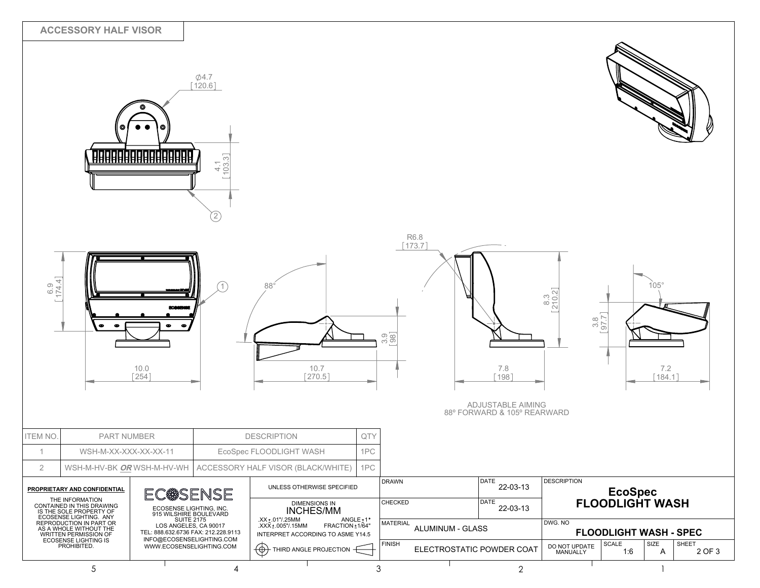|                     | <b>ACCESSORY HALF VISOR</b>                                                                                                                                                     |                                                                                                                                                                 | $\phi$ 4.7<br>$[120.6]$<br>$\frac{41}{103.3}$<br>$\left[ 2\right]$ |                                                                                                                                                                             |     |                            |                                                        |                                 |                           |                                                             |                                 |                 |
|---------------------|---------------------------------------------------------------------------------------------------------------------------------------------------------------------------------|-----------------------------------------------------------------------------------------------------------------------------------------------------------------|--------------------------------------------------------------------|-----------------------------------------------------------------------------------------------------------------------------------------------------------------------------|-----|----------------------------|--------------------------------------------------------|---------------------------------|---------------------------|-------------------------------------------------------------|---------------------------------|-----------------|
| $\frac{6.9}{174.4}$ | œ                                                                                                                                                                               | 10.0<br>$[254]$                                                                                                                                                 |                                                                    | $88^\circ$<br>10.7<br>$[270.5]$                                                                                                                                             |     | $3.9$ $[98]$               | <b>R6.8</b><br>$[173.7]$                               | 7.8<br>198<br>ADJUSTABLE AIMING | $\frac{8.3}{210.2}$       | $\frac{3.8}{97.7}$                                          | $105^\circ$<br>7.2<br>$[184.1]$ |                 |
|                     |                                                                                                                                                                                 |                                                                                                                                                                 |                                                                    |                                                                                                                                                                             |     |                            |                                                        | 88° FORWARD & 105° REARWARD     |                           |                                                             |                                 |                 |
| <b>ITEM NO</b>      | PART NUMBER                                                                                                                                                                     |                                                                                                                                                                 |                                                                    | <b>DESCRIPTION</b>                                                                                                                                                          | QTY |                            |                                                        |                                 |                           |                                                             |                                 |                 |
| $\mathbf{1}$        | WSH-M-XX-XXX-XX-XX-11                                                                                                                                                           |                                                                                                                                                                 |                                                                    | EcoSpec FLOODLIGHT WASH                                                                                                                                                     | 1PC |                            |                                                        |                                 |                           |                                                             |                                 |                 |
| $\overline{2}$      | WSH-M-HV-BK OR WSH-M-HV-WH                                                                                                                                                      |                                                                                                                                                                 |                                                                    | ACCESSORY HALF VISOR (BLACK/WHITE)                                                                                                                                          | 1PC |                            |                                                        |                                 |                           |                                                             |                                 |                 |
|                     | PROPRIETARY AND CONFIDENTIAL                                                                                                                                                    | EC <sup>®</sup> SENSE<br>ECOSENSE LIGHTING, INC.<br>915 WILSHIRE BOULEVARD<br><b>SUITE 2175</b><br>LOS ANGELES, CA 90017<br>TEL: 888.632.6736 FAX: 212.228.9113 |                                                                    | UNLESS OTHERWISE SPECIFIED<br>DIMENSIONS IN<br>INCHES/MM<br>.XX ± .01"/.25MM<br>$ANGLE + 1"$<br>.XXX ± .005"/.15MM<br>FRACTION ± 1/64"<br>INTERPRET ACCORDING TO ASME Y14.5 |     |                            | <b>DESCRIPTION</b><br>DATE<br><b>DRAWN</b><br>22-03-13 |                                 |                           |                                                             |                                 |                 |
|                     | THE INFORMATION<br>CONTAINED IN THIS DRAWING<br>IS THE SOLE PROPERTY OF<br>ECOSENSE LIGHTING. ANY<br>REPRODUCTION IN PART OR<br>AS A WHOLE WITHOUT THE<br>WRITTEN PERMISSION OF |                                                                                                                                                                 |                                                                    |                                                                                                                                                                             |     | CHECKED<br><b>MATERIAL</b> | DATE<br>22-03-13<br>ALUMINUM - GLASS                   |                                 | DWG. NO                   | EcoSpec<br>FLOODLIGHT WASH<br><b>FLOODLIGHT WASH - SPEC</b> |                                 |                 |
|                     | <b>ECOSENSE LIGHTING IS</b><br>PROHIBITED.                                                                                                                                      | INFO@ECOSENSELIGHTING.COM<br>WWW.ECOSENSELIGHTING.COM                                                                                                           |                                                                    | ⊕<br>THIRD ANGLE PROJECTION -                                                                                                                                               |     | <b>FINISH</b>              | ELECTROSTATIC POWDER COAT                              |                                 | DO NOT UPDATE<br>MANUALLY | SCALE<br>1:6                                                | SIZE<br>A                       | SHEET<br>2 OF 3 |
|                     | 5                                                                                                                                                                               |                                                                                                                                                                 | 4                                                                  |                                                                                                                                                                             |     | 3                          |                                                        | $\mathbf{2}$                    |                           |                                                             |                                 |                 |